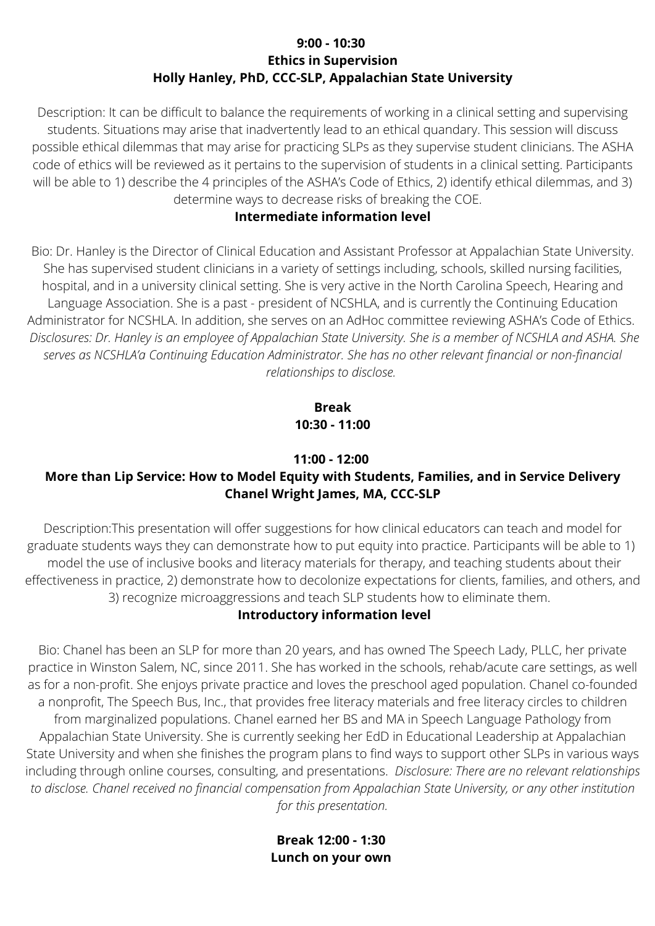### **9:00 - 10:30 Ethics in Supervision Holly Hanley, PhD, CCC-SLP, Appalachian State University**

Description: It can be difficult to balance the requirements of working in a clinical setting and supervising students. Situations may arise that inadvertently lead to an ethical quandary. This session will discuss possible ethical dilemmas that may arise for practicing SLPs as they supervise student clinicians. The ASHA code of ethics will be reviewed as it pertains to the supervision of students in a clinical setting. Participants will be able to 1) describe the 4 principles of the ASHA's Code of Ethics, 2) identify ethical dilemmas, and 3) determine ways to decrease risks of breaking the COE.

### **Intermediate information level**

Bio: Dr. Hanley is the Director of Clinical Education and Assistant Professor at Appalachian State University. She has supervised student clinicians in a variety of settings including, schools, skilled nursing facilities, hospital, and in a university clinical setting. She is very active in the North Carolina Speech, Hearing and Language Association. She is a past - president of NCSHLA, and is currently the Continuing Education Administrator for NCSHLA. In addition, she serves on an AdHoc committee reviewing ASHA's Code of Ethics. Disclosures: Dr. Hanley is an employee of Appalachian State University. She is a member of NCSHLA and ASHA. She *serves as NCSHLA'a Continuing Education Administrator. She has no other relevant financial or non-financial relationships to disclose.*

> **Break 10:30 - 11:00**

#### **11:00 - 12:00**

# **More than Lip Service: How to Model Equity with Students, Families, and in Service Delivery Chanel Wright James, MA, CCC-SLP**

Description:This presentation will offer suggestions for how clinical educators can teach and model for graduate students ways they can demonstrate how to put equity into practice. Participants will be able to 1) model the use of inclusive books and literacy materials for therapy, and teaching students about their effectiveness in practice, 2) demonstrate how to decolonize expectations for clients, families, and others, and 3) recognize microaggressions and teach SLP students how to eliminate them.

#### **Introductory information level**

Bio: Chanel has been an SLP for more than 20 years, and has owned The Speech Lady, PLLC, her private practice in Winston Salem, NC, since 2011. She has worked in the schools, rehab/acute care settings, as well as for a non-profit. She enjoys private practice and loves the preschool aged population. Chanel co-founded a nonprofit, The Speech Bus, Inc., that provides free literacy materials and free literacy circles to children from marginalized populations. Chanel earned her BS and MA in Speech Language Pathology from Appalachian State University. She is currently seeking her EdD in Educational Leadership at Appalachian State University and when she finishes the program plans to find ways to support other SLPs in various ways including through online courses, consulting, and presentations. *Disclosure: There are no relevant relationships to disclose. Chanel received no financial compensation from Appalachian State University, or any other institution for this presentation.*

> **Break 12:00 - 1:30 Lunch on your own**